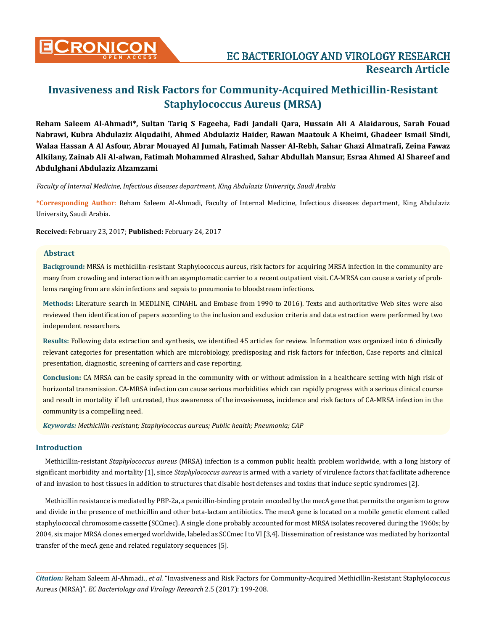

# **CRONICON EC BACTERIOLOGY AND VIROLOGY RESEARCH Research Article**

# **Invasiveness and Risk Factors for Community-Acquired Methicillin-Resistant Staphylococcus Aureus (MRSA)**

**Reham Saleem Al-Ahmadi\*, Sultan Tariq S Fageeha, Fadi Jandali Qara, Hussain Ali A Alaidarous, Sarah Fouad Nabrawi, Kubra Abdulaziz Alqudaihi, Ahmed Abdulaziz Haider, Rawan Maatouk A Kheimi, Ghadeer Ismail Sindi, Walaa Hassan A Al Asfour, Abrar Mouayed Al Jumah, Fatimah Nasser Al-Rebh, Sahar Ghazi Almatrafi, Zeina Fawaz Alkilany, Zainab Ali Al-alwan, Fatimah Mohammed Alrashed, Sahar Abdullah Mansur, Esraa Ahmed Al Shareef and Abdulghani Abdulaziz Alzamzami**

*Faculty of Internal Medicine, Infectious diseases department, King Abdulaziz University, Saudi Arabia* 

**\*Corresponding Author**: Reham Saleem Al-Ahmadi, Faculty of Internal Medicine, Infectious diseases department, King Abdulaziz University, Saudi Arabia.

**Received:** February 23, 2017; **Published:** February 24, 2017

# **Abstract**

**Background:** MRSA is methicillin-resistant Staphylococcus aureus, risk factors for acquiring MRSA infection in the community are many from crowding and interaction with an asymptomatic carrier to a recent outpatient visit. CA-MRSA can cause a variety of problems ranging from are skin infections and sepsis to pneumonia to bloodstream infections.

**Methods:** Literature search in MEDLINE, CINAHL and Embase from 1990 to 2016). Texts and authoritative Web sites were also reviewed then identification of papers according to the inclusion and exclusion criteria and data extraction were performed by two independent researchers.

**Results:** Following data extraction and synthesis, we identified 45 articles for review. Information was organized into 6 clinically relevant categories for presentation which are microbiology, predisposing and risk factors for infection, Case reports and clinical presentation, diagnostic, screening of carriers and case reporting.

**Conclusion:** CA MRSA can be easily spread in the community with or without admission in a healthcare setting with high risk of horizontal transmission. CA-MRSA infection can cause serious morbidities which can rapidly progress with a serious clinical course and result in mortality if left untreated, thus awareness of the invasiveness, incidence and risk factors of CA-MRSA infection in the community is a compelling need.

*Keywords: Methicillin-resistant; Staphylococcus aureus; Public health; Pneumonia; CAP*

# **Introduction**

Methicillin-resistant *Staphylococcus aureus* (MRSA) infection is a common public health problem worldwide, with a long history of significant morbidity and mortality [1], since *Staphylococcus aureus* is armed with a variety of virulence factors that facilitate adherence of and invasion to host tissues in addition to structures that disable host defenses and toxins that induce septic syndromes [2].

Methicillin resistance is mediated by PBP-2a, a penicillin-binding protein encoded by the mecA gene that permits the organism to grow and divide in the presence of methicillin and other beta-lactam antibiotics. The mecA gene is located on a mobile genetic element called staphylococcal chromosome cassette (SCCmec). A single clone probably accounted for most MRSA isolates recovered during the 1960s; by 2004, six major MRSA clones emerged worldwide, labeled as SCCmec I to VI [3,4]. Dissemination of resistance was mediated by horizontal transfer of the mecA gene and related regulatory sequences [5].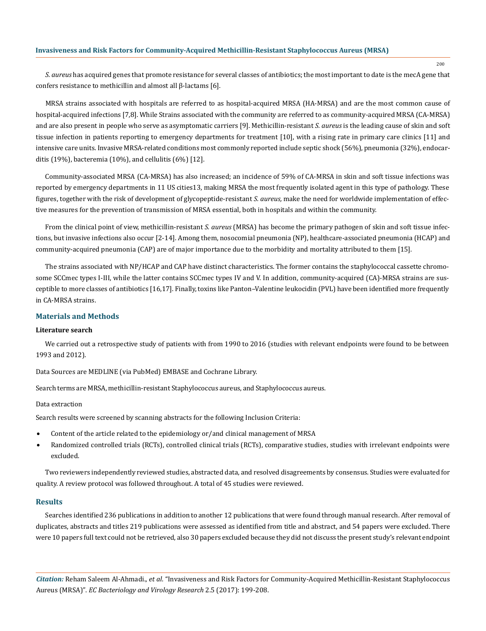200

*S. aureus* has acquired genes that promote resistance for several classes of antibiotics; the most important to date is the mecA gene that confers resistance to methicillin and almost all β-lactams [6].

MRSA strains associated with hospitals are referred to as hospital-acquired MRSA (HA-MRSA) and are the most common cause of hospital-acquired infections [7,8]. While Strains associated with the community are referred to as community-acquired MRSA (CA-MRSA) and are also present in people who serve as asymptomatic carriers [9]. Methicillin-resistant *S. aureus* is the leading cause of skin and soft tissue infection in patients reporting to emergency departments for treatment [10], with a rising rate in primary care clinics [11] and intensive care units. Invasive MRSA-related conditions most commonly reported include septic shock (56%), pneumonia (32%), endocarditis (19%), bacteremia (10%), and cellulitis (6%) [12].

Community-associated MRSA (CA-MRSA) has also increased; an incidence of 59% of CA-MRSA in skin and soft tissue infections was reported by emergency departments in 11 US cities13, making MRSA the most frequently isolated agent in this type of pathology. These figures, together with the risk of development of glycopeptide-resistant *S. aureus,* make the need for worldwide implementation of effective measures for the prevention of transmission of MRSA essential, both in hospitals and within the community.

From the clinical point of view, methicillin-resistant *S. aureus* (MRSA) has become the primary pathogen of skin and soft tissue infections, but invasive infections also occur [2-14]. Among them, nosocomial pneumonia (NP), healthcare-associated pneumonia (HCAP) and community-acquired pneumonia (CAP) are of major importance due to the morbidity and mortality attributed to them [15].

The strains associated with NP/HCAP and CAP have distinct characteristics. The former contains the staphylococcal cassette chromosome SCCmec types I-III, while the latter contains SCCmec types IV and V. In addition, community-acquired (CA)-MRSA strains are susceptible to more classes of antibiotics [16,17]. Finally, toxins like Panton–Valentine leukocidin (PVL) have been identified more frequently in CA-MRSA strains.

# **Materials and Methods**

#### **Literature search**

We carried out a retrospective study of patients with from 1990 to 2016 (studies with relevant endpoints were found to be between 1993 and 2012).

Data Sources are MEDLINE (via PubMed) EMBASE and Cochrane Library.

Search terms are MRSA, methicillin-resistant Staphylococcus aureus, and Staphylococcus aureus.

#### Data extraction

Search results were screened by scanning abstracts for the following Inclusion Criteria:

- Content of the article related to the epidemiology or/and clinical management of MRSA
- Randomized controlled trials (RCTs), controlled clinical trials (RCTs), comparative studies, studies with irrelevant endpoints were excluded.

Two reviewers independently reviewed studies, abstracted data, and resolved disagreements by consensus. Studies were evaluated for quality. A review protocol was followed throughout. A total of 45 studies were reviewed.

#### **Results**

Searches identified 236 publications in addition to another 12 publications that were found through manual research. After removal of duplicates, abstracts and titles 219 publications were assessed as identified from title and abstract, and 54 papers were excluded. There were 10 papers full text could not be retrieved, also 30 papers excluded because they did not discuss the present study's relevant endpoint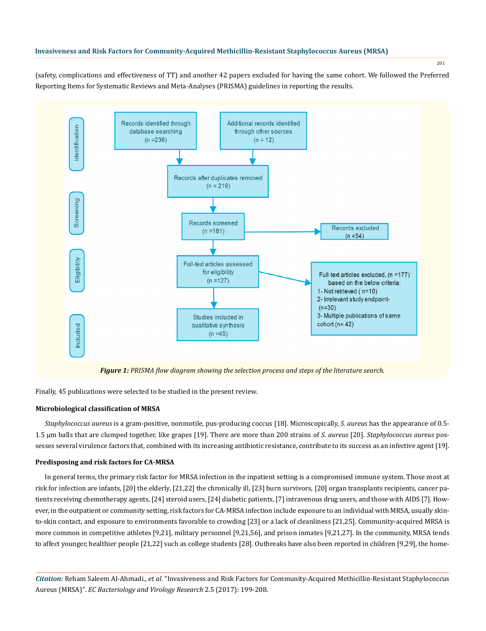(safety, complications and effectiveness of TT) and another 42 papers excluded for having the same cohort. We followed the Preferred Reporting Items for Systematic Reviews and Meta-Analyses (PRISMA) guidelines in reporting the results.



Finally, 45 publications were selected to be studied in the present review.

# **Microbiological classification of MRSA**

*Staphylococcus aureus* is a gram-positive, nonmotile, pus-producing coccus [18]. Microscopically, *S. aureus* has the appearance of 0.5- 1.5 µm balls that are clumped together, like grapes [19]. There are more than 200 strains of *S. aureus* [20]. *Staphylococcus aureus* possesses several virulence factors that, combined with its increasing antibiotic resistance, contribute to its success as an infective agent [19].

# **Predisposing and risk factors for CA-MRSA**

In general terms, the primary risk factor for MRSA infection in the inpatient setting is a compromised immune system. Those most at risk for infection are infants, [20] the elderly, [21,22] the chronically ill, [23] burn survivors, [20] organ transplants recipients, cancer patients receiving chemotherapy agents, [24] steroid users, [24] diabetic patients, [7] intravenous drug users, and those with AIDS [7]. However, in the outpatient or community setting, risk factors for CA-MRSA infection include exposure to an individual with MRSA, usually skinto-skin contact, and exposure to environments favorable to crowding [23] or a lack of cleanliness [21,25]. Community-acquired MRSA is more common in competitive athletes [9,21], military personnel [9,21,56], and prison inmates [9,21,27]. In the community, MRSA tends to affect younger, healthier people [21,22] such as college students [28]. Outbreaks have also been reported in children [9,29], the home-

*Citation:* Reham Saleem Al-Ahmadi., *et al*. "Invasiveness and Risk Factors for Community-Acquired Methicillin-Resistant Staphylococcus Aureus (MRSA)". *EC Bacteriology and Virology Research* 2.5 (2017): 199-208.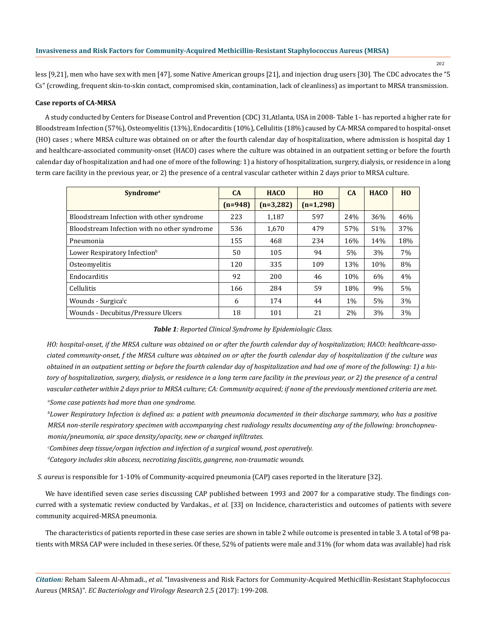less [9,21], men who have sex with men [47], some Native American groups [21], and injection drug users [30]. The CDC advocates the "5 Cs" (crowding, frequent skin-to-skin contact, compromised skin, contamination, lack of cleanliness) as important to MRSA transmission.

# **Case reports of CA-MRSA**

A study conducted by Centers for Disease Control and Prevention (CDC) 31,Atlanta, USA in 2008- Table 1- has reported a higher rate for Bloodstream Infection (57%), Osteomyelitis (13%), Endocarditis (10%), Cellulitis (18%) caused by CA-MRSA compared to hospital-onset (HO) cases ; where MRSA culture was obtained on or after the fourth calendar day of hospitalization, where admission is hospital day 1 and healthcare-associated community-onset (HACO) cases where the culture was obtained in an outpatient setting or before the fourth calendar day of hospitalization and had one of more of the following: 1) a history of hospitalization, surgery, dialysis, or residence in a long term care facility in the previous year, or 2) the presence of a central vascular catheter within 2 days prior to MRSA culture.

| <b>Syndrome</b> <sup>a</sup>                 | CA        | <b>HACO</b> | HO          | CA    | <b>HACO</b> | H <sub>0</sub> |
|----------------------------------------------|-----------|-------------|-------------|-------|-------------|----------------|
|                                              | $(n=948)$ | $(n=3,282)$ | $(n=1,298)$ |       |             |                |
| Bloodstream Infection with other syndrome    | 223       | 1.187       | 597         | 24%   | 36%         | 46%            |
| Bloodstream Infection with no other syndrome | 536       | 1.670       | 479         | 57%   | 51%         | 37%            |
| Pneumonia                                    | 155       | 468         | 234         | 16%   | 14%         | 18%            |
| Lower Respiratory Infection <sup>b</sup>     | 50        | 105         | 94          | 5%    | 3%          | 7%             |
| Osteomyelitis                                | 120       | 335         | 109         | 13%   | 10%         | 8%             |
| Endocarditis                                 | 92        | 200         | 46          | 10%   | 6%          | 4%             |
| <b>Cellulitis</b>                            | 166       | 284         | 59          | 18%   | 9%          | 5%             |
| Wounds - Surgica <sup>l</sup> c              | 6         | 174         | 44          | $1\%$ | 5%          | 3%             |
| Wounds - Decubitus/Pressure Ulcers           | 18        | 101         | 21          | 2%    | 3%          | 3%             |

# *Table 1: Reported Clinical Syndrome by Epidemiologic Class.*

*HO: hospital-onset, if the MRSA culture was obtained on or after the fourth calendar day of hospitalization; HACO: healthcare-associated community-onset, f the MRSA culture was obtained on or after the fourth calendar day of hospitalization if the culture was obtained in an outpatient setting or before the fourth calendar day of hospitalization and had one of more of the following: 1) a history of hospitalization, surgery, dialysis, or residence in a long term care facility in the previous year, or 2) the presence of a central vascular catheter within 2 days prior to MRSA culture; CA: Community acquired; if none of the previously mentioned criteria are met.*

*a Some case patients had more than one syndrome.*

*b Lower Respiratory Infection is defined as: a patient with pneumonia documented in their discharge summary, who has a positive MRSA non-sterile respiratory specimen with accompanying chest radiology results documenting any of the following: bronchopneumonia/pneumonia, air space density/opacity, new or changed infiltrates.*

*c Combines deep tissue/organ infection and infection of a surgical wound, post operatively.*

*d Category includes skin abscess, necrotizing fasciitis, gangrene, non-traumatic wounds.*

 *S. aureus* is responsible for 1-10% of Community-acquired pneumonia (CAP) cases reported in the literature [32].

We have identified seven case series discussing CAP published between 1993 and 2007 for a comparative study. The findings concurred with a systematic review conducted by Vardakas., *et al*. [33] on Incidence, characteristics and outcomes of patients with severe community acquired-MRSA pneumonia.

The characteristics of patients reported in these case series are shown in table 2 while outcome is presented in table 3. A total of 98 patients with MRSA CAP were included in these series. Of these, 52% of patients were male and 31% (for whom data was available) had risk

*Citation:* Reham Saleem Al-Ahmadi., *et al*. "Invasiveness and Risk Factors for Community-Acquired Methicillin-Resistant Staphylococcus Aureus (MRSA)". *EC Bacteriology and Virology Research* 2.5 (2017): 199-208.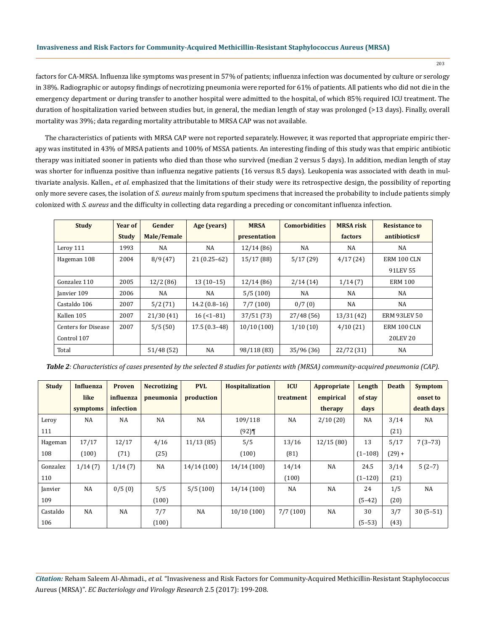factors for CA-MRSA. Influenza like symptoms was present in 57% of patients; influenza infection was documented by culture or serology in 38%. Radiographic or autopsy findings of necrotizing pneumonia were reported for 61% of patients. All patients who did not die in the emergency department or during transfer to another hospital were admitted to the hospital, of which 85% required ICU treatment. The duration of hospitalization varied between studies but, in general, the median length of stay was prolonged (>13 days). Finally, overall mortality was 39%; data regarding mortality attributable to MRSA CAP was not available.

The characteristics of patients with MRSA CAP were not reported separately. However, it was reported that appropriate empiric therapy was instituted in 43% of MRSA patients and 100% of MSSA patients. An interesting finding of this study was that empiric antibiotic therapy was initiated sooner in patients who died than those who survived (median 2 versus 5 days). In addition, median length of stay was shorter for influenza positive than influenza negative patients (16 versus 8.5 days). Leukopenia was associated with death in multivariate analysis. Kallen., *et al.* emphasized that the limitations of their study were its retrospective design, the possibility of reporting only more severe cases, the isolation of *S. aureus* mainly from sputum specimens that increased the probability to include patients simply colonized with *S. aureus* and the difficulty in collecting data regarding a preceding or concomitant influenza infection.

| <b>Study</b>               | Year of      | Gender      | Age (years)    | <b>MRSA</b>  | <b>Comorbidities</b> | <b>MRSA</b> risk | <b>Resistance to</b> |  |
|----------------------------|--------------|-------------|----------------|--------------|----------------------|------------------|----------------------|--|
|                            | <b>Study</b> | Male/Female |                | presentation |                      | factors          | antibiotics#         |  |
| Leroy 111                  | 1993         | <b>NA</b>   | NA             | 12/14(86)    | NA                   | NA               | <b>NA</b>            |  |
| Hageman 108                | 2004         | 8/9(47)     | $21(0.25-62)$  | 15/17(88)    | 5/17(29)             | 4/17(24)         | ERM 100 CLN          |  |
|                            |              |             |                |              |                      |                  | 91LEV 55             |  |
| Gonzalez 110               | 2005         | 12/2(86)    | $13(10-15)$    | 12/14(86)    | 2/14(14)             | 1/14(7)          | <b>ERM 100</b>       |  |
| Janvier 109                | 2006         | <b>NA</b>   | NA             | 5/5(100)     | NA                   | <b>NA</b>        | NA                   |  |
| Castaldo 106               | 2007         | 5/2(71)     | $14.2(0.8-16)$ | 7/7(100)     | 0/7(0)               | <b>NA</b>        | <b>NA</b>            |  |
| Kallen 105                 | 2007         | 21/30(41)   | $16$ (<1-81)   | 37/51(73)    | 27/48(56)            | 13/31(42)        | <b>ERM 93LEV 50</b>  |  |
| <b>Centers for Disease</b> | 2007         | 5/5(50)     | $17.5(0.3-48)$ | 10/10(100)   | 1/10(10)             | 4/10(21)         | ERM 100 CLN          |  |
| Control 107                |              |             |                |              |                      |                  | <b>20LEV 20</b>      |  |
| Total                      |              | 51/48(52)   | NA             | 98/118 (83)  | 35/96 (36)           | 22/72 (31)       | NA                   |  |

*Table 2: Characteristics of cases presented by the selected 8 studies for patients with (MRSA) community-acquired pneumonia (CAP).*

| <b>Study</b> | <b>Influenza</b> | <b>Proven</b> | <b>Necrotizing</b> | <b>PVL</b> | <b>Hospitalization</b> | <b>ICU</b> | Appropriate | Length    | <b>Death</b> | <b>Symptom</b> |
|--------------|------------------|---------------|--------------------|------------|------------------------|------------|-------------|-----------|--------------|----------------|
|              | like             | influenza     | pneumonia          | production |                        | treatment  | empirical   | of stay   |              | onset to       |
|              | symptoms         | infection     |                    |            |                        |            | therapy     | days      |              | death days     |
| Leroy        | <b>NA</b>        | NA            | <b>NA</b>          | NA         | 109/118                | NA         | 2/10(20)    | NA        | 3/14         | NA             |
| 111          |                  |               |                    |            | (92)                   |            |             |           | (21)         |                |
| Hageman      | 17/17            | 12/17         | 4/16               | 11/13(85)  | 5/5                    | 13/16      | 12/15(80)   | 13        | 5/17         | $7(3-73)$      |
| 108          | (100)            | (71)          | (25)               |            | (100)                  | (81)       |             | $(1-108)$ | $(29) +$     |                |
| Gonzalez     | 1/14(7)          | 1/14(7)       | NA                 | 14/14(100) | 14/14(100)             | 14/14      | NA          | 24.5      | 3/14         | $5(2-7)$       |
| 110          |                  |               |                    |            |                        | (100)      |             | $(1-120)$ | (21)         |                |
| Janvier      | <b>NA</b>        | 0/5(0)        | 5/5                | 5/5(100)   | 14/14(100)             | NA         | <b>NA</b>   | 24        | 1/5          | NA             |
| 109          |                  |               | (100)              |            |                        |            |             | $(5-42)$  | (20)         |                |
| Castaldo     | <b>NA</b>        | NA            | 7/7                | NA         | 10/10(100)             | 7/7(100)   | NA          | 30        | 3/7          | $30(5-51)$     |
| 106          |                  |               | (100)              |            |                        |            |             | $(5-53)$  | (43)         |                |

*Citation:* Reham Saleem Al-Ahmadi., *et al*. "Invasiveness and Risk Factors for Community-Acquired Methicillin-Resistant Staphylococcus Aureus (MRSA)". *EC Bacteriology and Virology Research* 2.5 (2017): 199-208.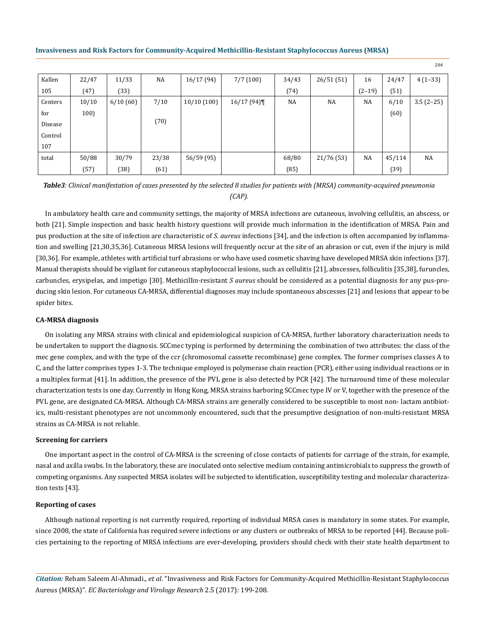| Kallen  | 22/47 | 11/33    | NA    | 16/17(94)  | 7/7(100)  | 34/43 | 26/51(51)  | 16       | 24/47  | $4(1-33)$   |
|---------|-------|----------|-------|------------|-----------|-------|------------|----------|--------|-------------|
| 105     | (47)  | (33)     |       |            |           | (74)  |            | $(2-19)$ | (51)   |             |
| Centers | 10/10 | 6/10(60) | 7/10  | 10/10(100) | 16/17(94) | NA    | NA         | NA       | 6/10   | $3.5(2-25)$ |
| for     | 100)  |          |       |            |           |       |            |          | (60)   |             |
| Disease |       |          | (70)  |            |           |       |            |          |        |             |
| Control |       |          |       |            |           |       |            |          |        |             |
| 107     |       |          |       |            |           |       |            |          |        |             |
| total   | 50/88 | 30/79    | 23/38 | 56/59 (95) |           | 68/80 | 21/76 (53) | NA       | 45/114 | NA          |
|         | (57)  | (38)     | (61)  |            |           | (85)  |            |          | (39)   |             |

*Table3: Clinical manifestation of cases presented by the selected 8 studies for patients with (MRSA) community-acquired pneumonia (CAP).*

In ambulatory health care and community settings, the majority of MRSA infections are cutaneous, involving cellulitis, an abscess, or both [21]. Simple inspection and basic health history questions will provide much information in the identification of MRSA. Pain and pus production at the site of infection are characteristic of *S. aureus* infections [34], and the infection is often accompanied by inflammation and swelling [21,30,35,36]. Cutaneous MRSA lesions will frequently occur at the site of an abrasion or cut, even if the injury is mild [30,36]. For example, athletes with artificial turf abrasions or who have used cosmetic shaving have developed MRSA skin infections [37]. Manual therapists should be vigilant for cutaneous staphylococcal lesions, such as cellulitis [21], abscesses, folliculitis [35,38], furuncles, carbuncles, erysipelas, and impetigo [30]. Methicillin-resistant *S aureus* should be considered as a potential diagnosis for any pus-producing skin lesion. For cutaneous CA-MRSA, differential diagnoses may include spontaneous abscesses [21] and lesions that appear to be spider bites.

# **CA-MRSA diagnosis**

On isolating any MRSA strains with clinical and epidemiological suspicion of CA-MRSA, further laboratory characterization needs to be undertaken to support the diagnosis. SCCmec typing is performed by determining the combination of two attributes: the class of the mec gene complex, and with the type of the ccr (chromosomal cassette recombinase) gene complex. The former comprises classes A to C, and the latter comprises types 1-3. The technique employed is polymerase chain reaction (PCR), either using individual reactions or in a multiplex format [41]. In addition, the presence of the PVL gene is also detected by PCR [42]. The turnaround time of these molecular characterization tests is one day. Currently in Hong Kong, MRSA strains harboring SCCmec type IV or V, together with the presence of the PVL gene, are designated CA-MRSA. Although CA-MRSA strains are generally considered to be susceptible to most non- lactam antibiotics, multi-resistant phenotypes are not uncommonly encountered, such that the presumptive designation of non-multi-resistant MRSA strains as CA-MRSA is not reliable.

#### **Screening for carriers**

One important aspect in the control of CA-MRSA is the screening of close contacts of patients for carriage of the strain, for example, nasal and axilla swabs. In the laboratory, these are inoculated onto selective medium containing antimicrobials to suppress the growth of competing organisms. Any suspected MRSA isolates will be subjected to identification, susceptibility testing and molecular characterization tests [43].

#### **Reporting of cases**

Although national reporting is not currently required, reporting of individual MRSA cases is mandatory in some states. For example, since 2008, the state of California has required severe infections or any clusters or outbreaks of MRSA to be reported [44]. Because policies pertaining to the reporting of MRSA infections are ever-developing, providers should check with their state health department to

*Citation:* Reham Saleem Al-Ahmadi., *et al*. "Invasiveness and Risk Factors for Community-Acquired Methicillin-Resistant Staphylococcus Aureus (MRSA)". *EC Bacteriology and Virology Research* 2.5 (2017): 199-208.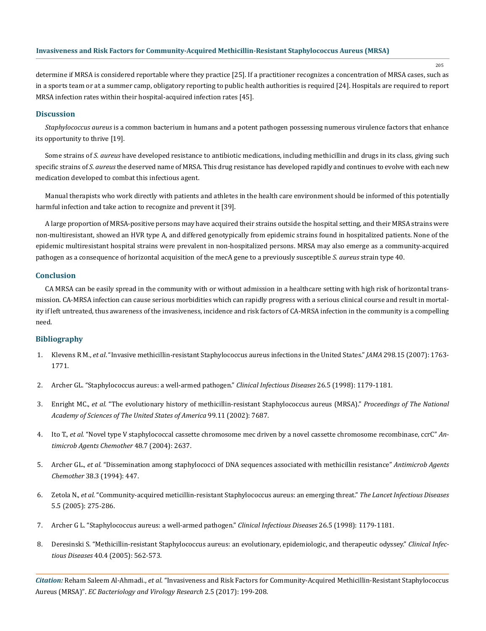205

determine if MRSA is considered reportable where they practice [25]. If a practitioner recognizes a concentration of MRSA cases, such as in a sports team or at a summer camp, obligatory reporting to public health authorities is required [24]. Hospitals are required to report MRSA infection rates within their hospital-acquired infection rates [45].

# **Discussion**

*Staphylococcus aureus* is a common bacterium in humans and a potent pathogen possessing numerous virulence factors that enhance its opportunity to thrive [19].

Some strains of *S. aureus* have developed resistance to antibiotic medications, including methicillin and drugs in its class, giving such specific strains of *S. aureus* the deserved name of MRSA. This drug resistance has developed rapidly and continues to evolve with each new medication developed to combat this infectious agent.

Manual therapists who work directly with patients and athletes in the health care environment should be informed of this potentially harmful infection and take action to recognize and prevent it [39].

A large proportion of MRSA-positive persons may have acquired their strains outside the hospital setting, and their MRSA strains were non-multiresistant, showed an HVR type A, and differed genotypically from epidemic strains found in hospitalized patients. None of the epidemic multiresistant hospital strains were prevalent in non-hospitalized persons. MRSA may also emerge as a community-acquired pathogen as a consequence of horizontal acquisition of the mecA gene to a previously susceptible *S. aureus* strain type 40.

# **Conclusion**

CA MRSA can be easily spread in the community with or without admission in a healthcare setting with high risk of horizontal transmission. CA-MRSA infection can cause serious morbidities which can rapidly progress with a serious clinical course and result in mortality if left untreated, thus awareness of the invasiveness, incidence and risk factors of CA-MRSA infection in the community is a compelling need.

# **Bibliography**

- 1. Klevens R M., *et al*. "Invasive methicillin-resistant Staphylococcus aureus [infections in the United States."](https://www.ncbi.nlm.nih.gov/pubmed/17940231) *JAMA* 298.15 (2007): 1763- [1771.](https://www.ncbi.nlm.nih.gov/pubmed/17940231)
- 2. [Archer GL. "Staphylococcus aureus: a well-armed pathogen."](https://www.ncbi.nlm.nih.gov/pubmed/9597249) *Clinical Infectious Diseases* 26.5 (1998): 1179-1181.
- 3. Enright MC., *et al.* ["The evolutionary history of methicillin-resistant Staphylococcus aureus \(MRSA\)."](https://www.ncbi.nlm.nih.gov/pubmed/12032344) *Proceedings of The National [Academy of Sciences of The United States of America](https://www.ncbi.nlm.nih.gov/pubmed/12032344)* 99.11 (2002): 7687.
- 4. Ito T., *et al.* ["Novel type V staphylococcal cassette chromosome mec driven by a novel cassette chromosome recombinase, ccrC"](https://www.ncbi.nlm.nih.gov/pubmed/15215121) *An[timicrob Agents Chemother](https://www.ncbi.nlm.nih.gov/pubmed/15215121)* 48.7 (2004): 2637.
- 5. Archer GL., *et al.* ["Dissemination among staphylococci of DNA sequences associated with methicillin resistance"](https://www.ncbi.nlm.nih.gov/pmc/articles/PMC284478/) *Antimicrob Agents Chemother* [38.3 \(1994\): 447.](https://www.ncbi.nlm.nih.gov/pmc/articles/PMC284478/)
- 6. Zetola N., *et al*[. "Community-acquired meticillin-resistant Staphylococcus aureus: an emerging threat."](https://www.ncbi.nlm.nih.gov/pubmed/15854883) *The Lancet Infectious Diseases* [5.5 \(2005\): 275-286.](https://www.ncbi.nlm.nih.gov/pubmed/15854883)
- 7. [Archer G L. "Staphylococcus aureus: a well-armed pathogen."](https://www.ncbi.nlm.nih.gov/pubmed/9597249) *Clinical Infectious Diseases* 26.5 (1998): 1179-1181.
- 8. [Deresinski S. "Methicillin-resistant Staphylococcus aureus: an evolutionary, epidemiologic, and therapeutic odyssey."](https://www.ncbi.nlm.nih.gov/pubmed/15712079) *Clinical Infectious Diseases* [40.4 \(2005\): 562-573.](https://www.ncbi.nlm.nih.gov/pubmed/15712079)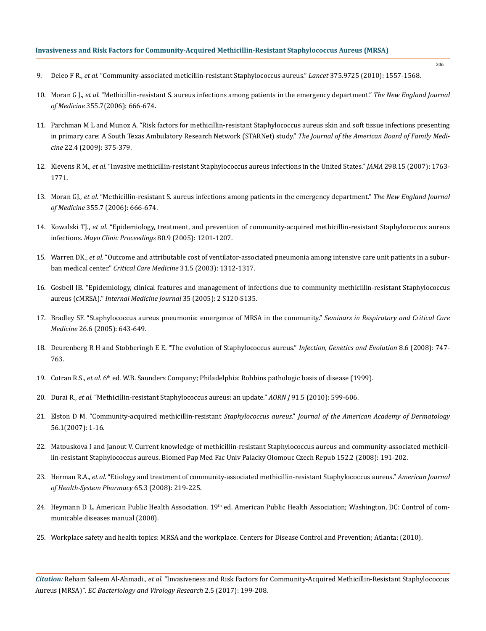206

- 9. Deleo F R., *et al.* ["Community-associated meticillin-resistant Staphylococcus aureus."](https://www.ncbi.nlm.nih.gov/pubmed/20206987) *Lancet* 375.9725 (2010): 1557-1568.
- 10. Moran G J., *et al.* "Methicillin-resistant S. aureus infections among patients in the emergency department." *The New England Journal of Medicine* 355.7(2006): 666-674.
- 11. [Parchman M L and Munoz A. "Risk factors for methicillin-resistant Staphylococcus aureus skin and soft tissue infections presenting](https://www.ncbi.nlm.nih.gov/pubmed/19587251)  [in primary care: A South Texas Ambulatory Research Network \(STARNet\) study."](https://www.ncbi.nlm.nih.gov/pubmed/19587251) *The Journal of the American Board of Family Medicine* [22.4 \(2009\): 375-379.](https://www.ncbi.nlm.nih.gov/pubmed/19587251)
- 12. Klevens R M., *et al*[. "Invasive methicillin-resistant Staphylococcus aureus infections in the United States."](https://www.ncbi.nlm.nih.gov/pubmed/17940231) *JAMA* 298.15 (2007): 1763- [1771.](https://www.ncbi.nlm.nih.gov/pubmed/17940231)
- 13. Moran GJ., *et al.* "Methicillin-resistant S. aureus infections among patients in the emergency department." *The New England Journal of Medicine* 355.7 (2006): 666-674.
- 14. Kowalski TJ., *et al.* ["Epidemiology, treatment, and prevention of community-acquired methicillin-resistant Staphylococcus aureus](https://www.ncbi.nlm.nih.gov/pubmed/16178500)  infections. *[Mayo Clinic Proceedings](https://www.ncbi.nlm.nih.gov/pubmed/16178500)* 80.9 (2005): 1201-1207.
- 15. Warren DK., *et al.* ["Outcome and attributable cost of ventilator-associated pneumonia among intensive care unit patients in a subur](https://www.ncbi.nlm.nih.gov/pubmed/12771596)ban medical center." *Critical Care Medicine* [31.5 \(2003\): 1312-1317.](https://www.ncbi.nlm.nih.gov/pubmed/12771596)
- 16. [Gosbell IB. "Epidemiology, clinical features and management of infections due to community methicillin-resistant Staphylococcus](https://www.ncbi.nlm.nih.gov/pubmed/16271056)  aureus (cMRSA)." *[Internal Medicine Journal](https://www.ncbi.nlm.nih.gov/pubmed/16271056)* 35 (2005): 2 S120-S135.
- 17. [Bradley SF. "Staphylococcus aureus pneumonia: emergence of MRSA in the community."](http://www.medscape.com/viewarticle/521338) *Seminars in Respiratory and Critical Care Medicine* [26.6 \(2005\): 643-649.](http://www.medscape.com/viewarticle/521338)
- 18. [Deurenberg R H and Stobberingh E E. "The evolution of](https://www.ncbi.nlm.nih.gov/pubmed/18718557) Staphylococcus aureus." *Infection, Genetics and Evolution* 8.6 (2008): 747- [763.](https://www.ncbi.nlm.nih.gov/pubmed/18718557)
- 19. Cotran R.S., *et al*. 6th ed. W.B. Saunders Company; Philadelphia: Robbins pathologic basis of disease (1999).
- 20. Durai R., *et al.* "Methicillin-resistant [Staphylococcus aureus: an update."](https://www.ncbi.nlm.nih.gov/pubmed/20451002) *AORN J* 91.5 (2010): 599-606.
- 21. Elston D M. "Community-acquired methicillin-resistant *Staphylococcus aureus*." *Journal of the American Academy of Dermatology* 56.1(2007): 1-16.
- 22. [Matouskova I and Janout V. Current knowledge of methicillin-resistant Staphylococcus aureus and community-associated methicil](https://www.ncbi.nlm.nih.gov/pubmed/19219207)[lin-resistant Staphylococcus aureus. Biomed Pap Med Fac Univ Palacky Olomouc Czech Repub 152.2 \(2008\): 191-202.](https://www.ncbi.nlm.nih.gov/pubmed/19219207)
- 23. Herman R.A., *et al.* ["Etiology and treatment of community-associated methicillin-resistant Staphylococcus aureus."](https://www.ncbi.nlm.nih.gov/pubmed/18216006) *American Journal [of Health-System Pharmacy](https://www.ncbi.nlm.nih.gov/pubmed/18216006)* 65.3 (2008): 219-225.
- 24. Heymann D L. American Public Health Association. 19<sup>th</sup> ed. American Public Health Association; Washington, DC: Control of communicable diseases manual (2008).
- 25. Workplace safety and health topics: MRSA and the workplace. Centers for Disease Control and Prevention; Atlanta: (2010).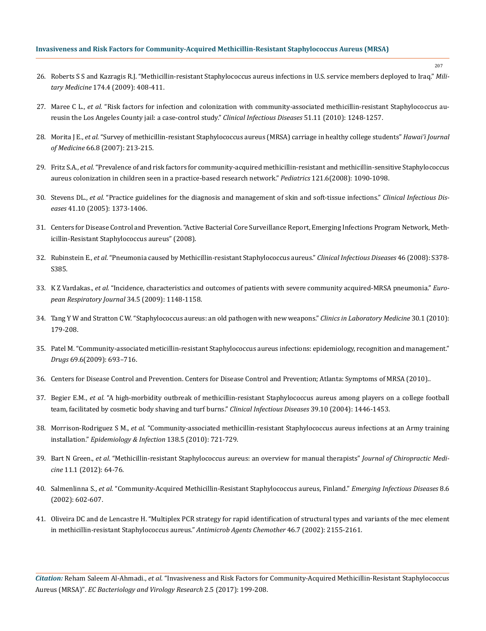- 26. [Roberts S S and Kazragis R.J. "Methicillin-resistant Staphylococcus aureus infections in U.S. service members deployed to Iraq."](https://www.ncbi.nlm.nih.gov/pubmed/19485112) *Military Medicine* [174.4 \(2009\): 408-411.](https://www.ncbi.nlm.nih.gov/pubmed/19485112)
- 27. Maree C L., *et al.* ["Risk factors for infection and colonization with community-associated methicillin-resistant Staphylococcus au](https://www.ncbi.nlm.nih.gov/pubmed/21034197)[reusin the Los Angeles County jail: a case-control study."](https://www.ncbi.nlm.nih.gov/pubmed/21034197) *Clinical Infectious Diseases* 51.11 (2010): 1248-1257.
- 28. Morita J E., *et al.* ["Survey of methicillin-resistant Staphylococcus aureus \(MRSA\) carriage in healthy college students"](https://www.ncbi.nlm.nih.gov/pubmed/17941374) *Hawai'i Journal of Medicine* [66.8 \(2007\): 213-215.](https://www.ncbi.nlm.nih.gov/pubmed/17941374)
- 29. Fritz S.A., *et al.* ["Prevalence of and risk factors for community-acquired methicillin-resistant and methicillin-sensitive Staphylococcus](https://www.ncbi.nlm.nih.gov/pubmed/18519477) [aureus colonization in children seen in a practice-based research network."](https://www.ncbi.nlm.nih.gov/pubmed/18519477) *Pediatrics* 121.6(2008): 1090-1098.
- 30. Stevens DL., *et al.* ["Practice guidelines for the diagnosis and management of skin and soft-tissue infections."](https://oup.silverchair-cdn.com/oup/backfile/Content_public/Journal/cid/41/10/10.1086/497143/3/41-10-1373.pdf?Expires=1488264460&Signature=fRmJFwfyvtOj2qWSLwTZ8BezrlR-bQQTHHvVrx2MhJNYSvmvQfoepekRTcjOGqXyA~8i4GV~xZWFYI6Wbk-WdgkIXODQUa2VO4aaY1Hf-dN~6F3KV7J1eOolooHMkWL-BU2LSn1jo9Vl7rHsafVOBNgsahoU7CvPYkkhdimAL0nWePIPpn6Ig1cxe8h7Ts5kfPsZx4bu7n-hmId52ZFQ3GvbPSrWDWWj12vD2tnmWrxkK9D3ped1GYswdl1~S9FzIFwleYpCpYB8Ed0Ug6J1pZBe~2pEQRUsJgxvcn2LnXwEvTyluhkoTOpQWk5mgq2mT8kPQBeJNPTez4wM5vDTZg__&Key-Pair-Id=APKAIUCZBIA4LVPAVW3Q) *Clinical Infectious Diseases* [41.10 \(2005\): 1373-1406.](https://oup.silverchair-cdn.com/oup/backfile/Content_public/Journal/cid/41/10/10.1086/497143/3/41-10-1373.pdf?Expires=1488264460&Signature=fRmJFwfyvtOj2qWSLwTZ8BezrlR-bQQTHHvVrx2MhJNYSvmvQfoepekRTcjOGqXyA~8i4GV~xZWFYI6Wbk-WdgkIXODQUa2VO4aaY1Hf-dN~6F3KV7J1eOolooHMkWL-BU2LSn1jo9Vl7rHsafVOBNgsahoU7CvPYkkhdimAL0nWePIPpn6Ig1cxe8h7Ts5kfPsZx4bu7n-hmId52ZFQ3GvbPSrWDWWj12vD2tnmWrxkK9D3ped1GYswdl1~S9FzIFwleYpCpYB8Ed0Ug6J1pZBe~2pEQRUsJgxvcn2LnXwEvTyluhkoTOpQWk5mgq2mT8kPQBeJNPTez4wM5vDTZg__&Key-Pair-Id=APKAIUCZBIA4LVPAVW3Q)
- 31. [Centers for Disease Control and Prevention. "Active Bacterial Core Surveillance Report, Emerging Infections Program Network, Meth](https://academic.oup.com/cid/article/46/Supplement_5/S378/474128/Pneumonia-Caused-by-Methicillin-Resistant)icillin-Resistant [Staphylococcus aureus" \(2008\).](https://academic.oup.com/cid/article/46/Supplement_5/S378/474128/Pneumonia-Caused-by-Methicillin-Resistant)
- 32. Rubinstein E., *et al.* ["Pneumonia caused by Methicillin-resistant Staphylococcus aureus."](https://academic.oup.com/cid/article/46/Supplement_5/S378/474128/Pneumonia-Caused-by-Methicillin-Resistant) *Clinical Infectious Diseases* 46 (2008): S378- [S385.](https://academic.oup.com/cid/article/46/Supplement_5/S378/474128/Pneumonia-Caused-by-Methicillin-Resistant)
- 33. K Z Vardakas., *et al.* ["Incidence, characteristics and outcomes of patients with severe community acquired-MRSA pneumonia."](https://www.ncbi.nlm.nih.gov/pubmed/19541719) *Euro[pean Respiratory Journal](https://www.ncbi.nlm.nih.gov/pubmed/19541719)* 34.5 (2009): 1148-1158.
- 34. [Tang Y W and Stratton C W. "Staphylococcus aureus: an old pathogen with new weapons."](https://www.ncbi.nlm.nih.gov/pubmed/20513547) *Clinics in Laboratory Medicine* 30.1 (2010): [179-208.](https://www.ncbi.nlm.nih.gov/pubmed/20513547)
- 35. [Patel M. "Community-associated meticillin-resistant Staphylococcus aureus infections: epidemiology, recognition and management."](https://www.ncbi.nlm.nih.gov/pubmed/19405550) *Drugs* [69.6\(2009\): 693–716.](https://www.ncbi.nlm.nih.gov/pubmed/19405550)
- 36. [Centers for Disease Control and Prevention. Centers for Disease Control and Prevention; Atlanta: Symptoms of MRSA \(2010\)..](http://www.cdc.gov/mrsa/symptoms/index.html)
- 37. Begier E.M., *et al.* ["A high-morbidity outbreak of methicillin-resistant Staphylococcus aureus among players on a college football](https://academic.oup.com/cid/article/39/10/1446/457519/A-High-Morbidity-Outbreak-of-Methicillin-Resistant) [team, facilitated by cosmetic body shaving and turf burns."](https://academic.oup.com/cid/article/39/10/1446/457519/A-High-Morbidity-Outbreak-of-Methicillin-Resistant) *Clinical Infectious Diseases* 39.10 (2004): 1446-1453.
- 38. Morrison-Rodriguez S M., *et al.* ["Community-associated methicillin-resistant Staphylococcus aureus infections at an Army training](https://www.ncbi.nlm.nih.gov/pubmed/20096150) installation." *[Epidemiology & Infection](https://www.ncbi.nlm.nih.gov/pubmed/20096150)* 138.5 (2010): 721-729.
- 39. Bart N Green., *et al*[. "Methicillin-resistant Staphylococcus aureus: an overview for manual therapists"](https://www.ncbi.nlm.nih.gov/pmc/articles/PMC3315869/) *Journal of Chiropractic Medicine* [11.1 \(2012\): 64-76.](https://www.ncbi.nlm.nih.gov/pmc/articles/PMC3315869/)
- 40. Salmenlinna S., *et al.* ["Community-Acquired Methicillin-Resistant Staphylococcus aureus, Finland."](https://wwwnc.cdc.gov/eid/article/8/6/01-0313_article) *Emerging Infectious Diseases* 8.6 [\(2002\): 602-607.](https://wwwnc.cdc.gov/eid/article/8/6/01-0313_article)
- 41. [Oliveira DC and de Lencastre H. "Multiplex PCR strategy for rapid identification of structural types and variants of the mec element](https://www.ncbi.nlm.nih.gov/pubmed/12069968) [in methicillin-resistant Staphylococcus aureus."](https://www.ncbi.nlm.nih.gov/pubmed/12069968) *Antimicrob Agents Chemother* 46.7 (2002): 2155-2161.

*Citation:* Reham Saleem Al-Ahmadi., *et al*. "Invasiveness and Risk Factors for Community-Acquired Methicillin-Resistant Staphylococcus Aureus (MRSA)". *EC Bacteriology and Virology Research* 2.5 (2017): 199-208.